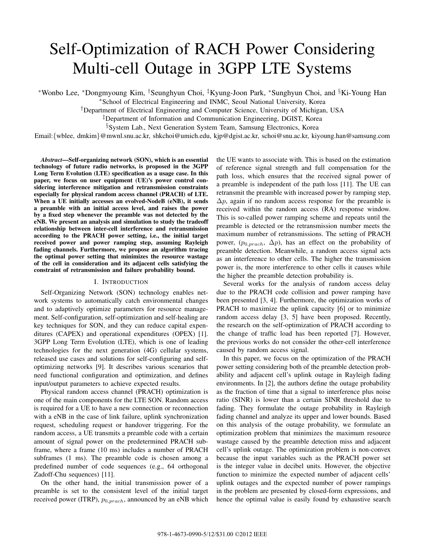# Self-Optimization of RACH Power Considering Multi-cell Outage in 3GPP LTE Systems

∗Wonbo Lee, ∗Dongmyoung Kim, †Seunghyun Choi, ‡Kyung-Joon Park, ∗Sunghyun Choi, and §Ki-Young Han

∗School of Electrical Engineering and INMC, Seoul National University, Korea

†Department of Electrical Engineering and Computer Science, University of Michigan, USA

‡Department of Information and Communication Engineering, DGIST, Korea

§System Lab., Next Generation System Team, Samsung Electronics, Korea

Email:{wblee, dmkim}@mwnl.snu.ac.kr, shkchoi@umich.edu, kjp@dgist.ac.kr, schoi@snu.ac.kr, kiyoung.han@samsung.com

*Abstract***—Self-organizing network (SON), which is an essential technology of future radio networks, is proposed in the 3GPP Long Term Evolution (LTE) specification as a usage case. In this paper, we focus on user equipment (UE)'s power control considering interference mitigation and retransmission constraints especially for physical random access channel (PRACH) of LTE. When a UE initially accesses an evolved-NodeB (eNB), it sends a preamble with an initial access level, and raises the power by a fixed step whenever the preamble was not detected by the eNB. We present an analysis and simulation to study the tradeoff relationship between inter-cell interference and retransmission according to the PRACH power setting, i.e., the initial target received power and power ramping step, assuming Rayleigh fading channels. Furthermore, we propose an algorithm tracing the optimal power setting that minimizes the resource wastage of the cell in consideration and its adjacent cells satisfying the constraint of retransmission and failure probability bound.**

## I. INTRODUCTION

Self-Organizing Network (SON) technology enables network systems to automatically catch environmental changes and to adaptively optimize parameters for resource management. Self-configuration, self-optimization and self-healing are key techniques for SON, and they can reduce capital expenditures (CAPEX) and operational expenditures (OPEX) [1]. 3GPP Long Term Evolution (LTE), which is one of leading technologies for the next generation (4G) cellular systems, released use cases and solutions for self-configuring and selfoptimizing networks [9]. It describes various scenarios that need functional configuration and optimization, and defines input/output parameters to achieve expected results.

Physical random access channel (PRACH) optimization is one of the main components for the LTE SON. Random access is required for a UE to have a new connection or reconnection with a eNB in the case of link failure, uplink synchronization request, scheduling request or handover triggering. For the random access, a UE transmits a preamble code with a certain amount of signal power on the predetermined PRACH subframe, where a frame (10 ms) includes a number of PRACH subframes (1 ms). The preamble code is chosen among a predefined number of code sequences (e.g., 64 orthogonal Zadoff-Chu sequences) [11].

On the other hand, the initial transmission power of a preamble is set to the consistent level of the initial target received power (ITRP),  $p_{0,prach}$ , announced by an eNB which the UE wants to associate with. This is based on the estimation of reference signal strength and full compensation for the path loss, which ensures that the received signal power of a preamble is independent of the path loss [11]. The UE can retransmit the preamble with increased power by ramping step,  $\Delta p$ , again if no random access response for the preamble is received within the random access (RA) response window. This is so-called power ramping scheme and repeats until the preamble is detected or the retransmission number meets the maximum number of retransmissions. The setting of PRACH power,  $(p_{0,prach}, \Delta p)$ , has an effect on the probability of preamble detection. Meanwhile, a random access signal acts as an interference to other cells. The higher the transmission power is, the more interference to other cells it causes while the higher the preamble detection probability is.

Several works for the analysis of random access delay due to the PRACH code collision and power ramping have been presented [3, 4]. Furthermore, the optimization works of PRACH to maximize the uplink capacity [6] or to minimize random access delay [3, 5] have been proposed. Recently, the research on the self-optimization of PRACH according to the change of traffic load has been reported [7]. However, the previous works do not consider the other-cell interference caused by random access signal.

In this paper, we focus on the optimization of the PRACH power setting considering both of the preamble detection probability and adjacent cell's uplink outage in Rayleigh fading environments. In [2], the authors define the outage probability as the fraction of time that a signal to interference plus noise ratio (SINR) is lower than a certain SINR threshold due to fading. They formulate the outage probability in Rayleigh fading channel and analyze its upper and lower bounds. Based on this analysis of the outage probability, we formulate an optimization problem that minimizes the maximum resource wastage caused by the preamble detection miss and adjacent cell's uplink outage. The optimization problem is non-convex because the input variables such as the PRACH power set is the integer value in decibel units. However, the objective function to minimize the expected number of adjacent cells' uplink outages and the expected number of power rampings in the problem are presented by closed-form expressions, and hence the optimal value is easily found by exhaustive search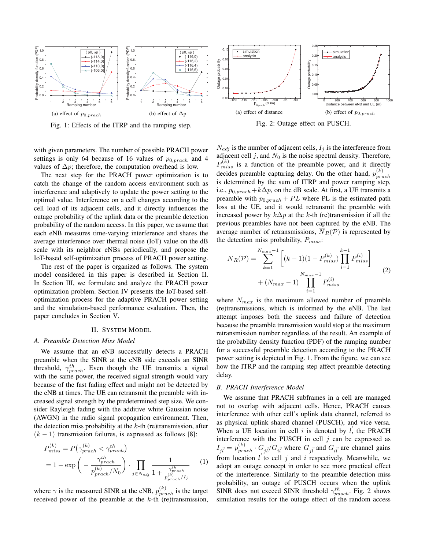

Fig. 1: Effects of the ITRP and the ramping step.

with given parameters. The number of possible PRACH power settings is only 64 because of 16 values of  $p_{0, *prach*}$  and 4 values of  $\Delta p$ ; therefore, the computation overhead is low.

The next step for the PRACH power optimization is to catch the change of the random access environment such as interference and adaptively to update the power setting to the optimal value. Interference on a cell changes according to the cell load of its adjacent cells, and it directly influences the outage probability of the uplink data or the preamble detection probability of the random access. In this paper, we assume that each eNB measures time-varying interference and shares the average interference over thermal noise (IoT) value on the dB scale with its neighbor eNBs periodically, and propose the IoT-based self-optimization process of PRACH power setting.

The rest of the paper is organized as follows. The system model considered in this paper is described in Section II. In Section III, we formulate and analyze the PRACH power optimization problem. Section IV presents the IoT-based selfoptimization process for the adaptive PRACH power setting and the simulation-based performance evaluation. Then, the paper concludes in Section V.

#### II. SYSTEM MODEL

#### *A. Preamble Detection Miss Model*

We assume that an eNB successfully detects a PRACH preamble when the SINR at the eNB side exceeds an SINR threshold,  $\gamma_{prach}^{th}$ . Even though the UE transmits a signal with the same power, the received signal strength would vary because of the fast fading effect and might not be detected by the eNB at times. The UE can retransmit the preamble with increased signal strength by the predetermined step size. We consider Rayleigh fading with the additive white Gaussian noise (AWGN) in the radio signal propagation environment. Then, the detection miss probability at the  $k$ -th (re)transmission, after  $(k - 1)$  transmission failures, is expressed as follows [8]:

$$
P_{miss}^{(k)} = P(\gamma_{prach}^{(k)} < \gamma_{prach}^{th})
$$
  
= 1 - exp $\left(-\frac{\gamma_{prach}^{th}}{p_{prach}^{(k)}/N_0}\right) \cdot \prod_{j \in N_{adj}} \frac{1}{1 + \frac{\gamma_{prach}^{th}}{p_{prach}^{(k)}/I_j}}$  (1)

where  $\gamma$  is the measured SINR at the eNB,  $p_{track}^{(k)}$  is the target received power of the preamble at the  $k$ -th (re)transmission,



Fig. 2: Outage effect on PUSCH.

 $N_{adj}$  is the number of adjacent cells,  $I_i$  is the interference from adjacent cell  $j$ , and  $N_0$  is the noise spectral density. Therefore,  $P_{miss}^{(k)}$  is a function of the preamble power, and it directly decides preamble capturing delay. On the other hand,  $p_{track}^{(k)}$ is determined by the sum of ITRP and power ramping step, i.e.,  $p_{0,prach} + k\Delta p$ , on the dB scale. At first, a UE transmits a preamble with  $p_{0,prach} + PL$  where PL is the estimated path loss at the UE, and it would retransmit the preamble with increased power by  $k\Delta p$  at the k-th (re)transmission if all the previous preambles have not been captured by the eNB. The average number of retransmissions,  $\overline{N}_R(\mathcal{P})$  is represented by the detection miss probability,  $P_{miss}$ :

$$
\overline{N}_R(\mathcal{P}) = \sum_{k=1}^{N_{max}-1} \left[ (k-1)(1 - P_{miss}^{(k)}) \prod_{i=1}^{k-1} P_{miss}^{(i)} \right] + (N_{max} - 1) \prod_{i=1}^{N_{max}-1} P_{miss}^{(i)} \tag{2}
$$

where  $N_{max}$  is the maximum allowed number of preamble (re)transmissions, which is informed by the eNB. The last attempt imposes both the success and failure of detection because the preamble transmission would stop at the maximum retransmission number regardless of the result. An example of the probability density function (PDF) of the ramping number for a successful preamble detection according to the PRACH power setting is depicted in Fig. 1. From the figure, we can see how the ITRP and the ramping step affect preamble detecting delay.

#### *B. PRACH Interference Model*

We assume that PRACH subframes in a cell are managed not to overlap with adjacent cells. Hence, PRACH causes interference with other cell's uplink data channel, referred to as physical uplink shared channel (PUSCH), and vice versa. When a UE location in cell i is denoted by  $\vec{l}$ , the PRACH interference with the PUSCH in cell  $j$  can be expressed as  $I_{i\vec{l}} = p_{prach}^{(k)} \cdot G_{i\vec{l}} / G_{i\vec{l}}$  where  $G_{i\vec{l}}$  and  $G_{i\vec{l}}$  are channel gains from location  $\vec{l}$  to cell j and i respectively. Meanwhile, we adopt an outage concept in order to see more practical effect of the interference. Similarly to the preamble detection miss probability, an outage of PUSCH occurs when the uplink SINR does not exceed SINR threshold  $\gamma_{push}^{th}$ . Fig. 2 shows simulation results for the outage effect of the random access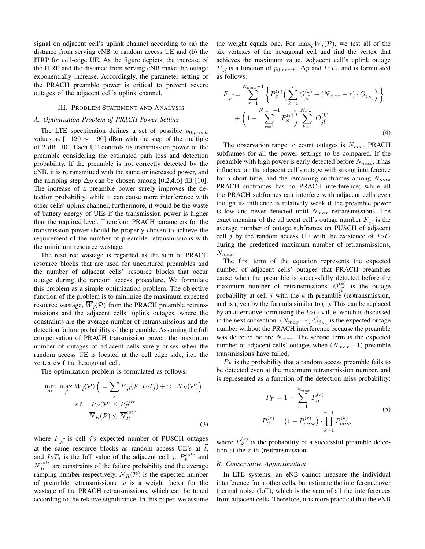signal on adjacent cell's uplink channel according to (a) the distance from serving eNB to random access UE and (b) the ITRP for cell-edge UE. As the figure depicts, the increase of the ITRP and the distance from serving eNB make the outage exponentially increase. Accordingly, the parameter setting of the PRACH preamble power is critical to prevent severe outages of the adjacent cell's uplink channel.

## III. PROBLEM STATEMENT AND ANALYSIS

## *A. Optimization Problem of PRACH Power Setting*

The LTE specification defines a set of possible  $p_{0,prach}$ values as  $[-120 \sim -90]$  dBm with the step of the multiple of 2 dB [10]. Each UE controls its transmission power of the preamble considering the estimated path loss and detection probability. If the preamble is not correctly detected by the eNB, it is retransmitted with the same or increased power, and the ramping step  $\Delta p$  can be chosen among [0,2,4,6] dB [10]. The increase of a preamble power surely improves the detection probability, while it can cause more interference with other cells' uplink channel; furthermore, it would be the waste of battery energy of UEs if the transmission power is higher than the required level. Therefore, PRACH parameters for the transmission power should be properly chosen to achieve the requirement of the number of preamble retransmissions with the minimum resource wastage.

The resource wastage is regarded as the sum of PRACH resource blocks that are used for uncaptured preambles and the number of adjacent cells' resource blocks that occur outage during the random access procedure. We formulate this problem as a simple optimization problem. The objective function of the problem is to minimize the maximum expected resource wastage,  $\overline{W}_{\vec{l}}(\mathcal{P})$  from the PRACH preamble retransmissions and the adjacent cells' uplink outages, where the constraints are the average number of retransmissions and the detection failure probability of the preamble. Assuming the full compensation of PRACH transmission power, the maximum number of outages of adjacent cells surely arises when the random access UE is located at the cell edge side, i.e., the vertex esof the hexagonal cell.

The optimization problem is formulated as follows:

$$
\min_{\mathcal{P}} \max_{\vec{l}} \overline{W}_{\vec{l}}(\mathcal{P}) \left( = \sum_{j} \overline{F}_{j\vec{l}}(\mathcal{P}, I \circ T_{j}) + \omega \cdot \overline{N}_{R}(\mathcal{P}) \right)
$$
  
s.t.  $P_{F}(\mathcal{P}) \le P_{F}^{cstr}$   

$$
\overline{N}_{R}(\mathcal{P}) \le \overline{N}_{R}^{cstr}
$$
 (3)

where  $\overline{F}_{i\overline{i}}$  is cell j's expected number of PUSCH outages at the same resource blocks as random access UE's at  $l$ , and  $IoT_j$  is the IoT value of the adjacent cell j.  $P_F^{cstr}$  and  $\overline{N}_R^{cstr}$  are constraints of the failure probability and the average ramping number respectively.  $\overline{N}_R(\mathcal{P})$  is the expected number of preamble retransmissions.  $\omega$  is a weight factor for the wastage of the PRACH retransmissions, which can be tuned according to the relative significance. In this paper, we assume

the weight equals one. For  $\max_{\vec{l}} \overline{W}_{\vec{l}}(\mathcal{P})$ , we test all of the six vertexes of the hexagonal cell and find the vertex that achieves the maximum value. Adjacent cell's uplink outage  $\overline{F}_{i\overline{l}}$  is a function of  $p_{0,prach}$ ,  $\Delta p$  and  $IoT_j$ , and is formulated as follows:

$$
\overline{F}_{j\overline{l}} = \sum_{r=1}^{N_{max}-1} \left\{ P_S^{(r)} \Big( \sum_{k=1}^r O_{j\overline{l}}^{(k)} + (N_{max} - r) \cdot O_{j_{N_0}} \Big) \right\} + \left( 1 - \sum_{r=1}^{N_{max}-1} P_S^{(r)} \right) \sum_{k=1}^{N_{max}} O_{j\overline{l}}^{(k)}
$$
\n(4)

The observation range to count outages is  $N_{max}$  PRACH subframes for all the power settings to be compared. If the preamble with high power is early detected before  $N_{max}$ , it has influence on the adjacent cell's outage with strong interference for a short time, and the remaining subframes among  $N_{max}$ PRACH subframes has no PRACH interference; while all the PRACH subframes can interfere with adjacent cells even though its influence is relatively weak if the preamble power is low and never detected until  $N_{max}$  retransmissions. The exact meaning of the adjacent cell's outage number  $F_{i\vec{l}}$  is the average number of outage subframes on PUSCH of adjacent cell j by the random access UE with the existence of  $IoT_j$ during the predefined maximum number of retransmissions,  $N_{max}$ .

The first term of the equation represents the expected number of adjacent cells' outages that PRACH preambles cause when the preamble is successfully detected before the maximum number of retransmissions.  $O_{i\vec{l}}^{(k)}$  is the outage probability at cell j with the k-th preamble (re)transmission, and is given by the formula similar to (1). This can be replaced by an alternative form using the  $I \circ T_i$  value, which is discussed in the next subsection.  $(N_{max}-r) \cdot O_{j_{N_0}}$  is the expected outage number without the PRACH interference because the preamble was detected before  $N_{max}$ . The second term is the expected number of adjacent cells' outages when  $(N_{max} - 1)$  preamble transmissions have failed.

 $P_F$  is the probability that a random access preamble fails to be detected even at the maximum retransmission number, and is represented as a function of the detection miss probability:

$$
P_F = 1 - \sum_{r=1}^{N_{max}} P_S^{(r)}
$$
  
\n
$$
P_S^{(r)} = \left(1 - P_{miss}^{(r)}\right) \cdot \prod_{k=1}^{r-1} P_{miss}^{(k)}
$$
\n(5)

where  $P_S^{(r)}$  is the probability of a successful preamble detection at the  $r$ -th (re)transmission.

#### *B. Conservative Approximation*

In LTE systems, an eNB cannot measure the individual interference from other cells, but estimate the interference over thermal noise (IoT), which is the sum of all the interferences from adjacent cells. Therefore, it is more practical that the eNB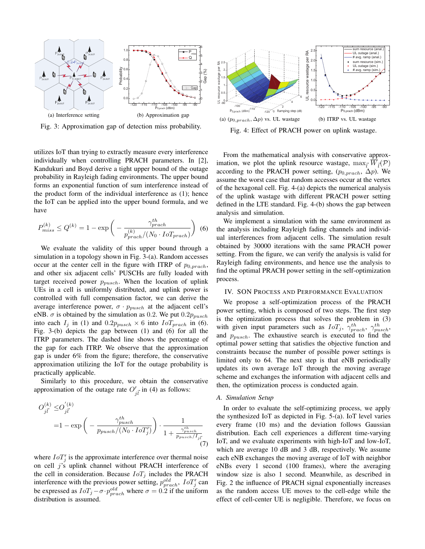

Fig. 3: Approximation gap of detection miss probability.

utilizes IoT than trying to extractly measure every interference individually when controlling PRACH parameters. In [2], Kandukuri and Boyd derive a tight upper bound of the outage probability in Rayleigh fading environments. The upper bound forms an exponential function of sum interference instead of the product form of the individual interference as (1); hence the IoT can be applied into the upper bound formula, and we have

$$
P_{miss}^{(k)} \le Q^{(k)} = 1 - \exp\left(-\frac{\gamma_{prach}^{th}}{p_{prach}^{(k)}/(N_0 \cdot IoT_{prach})}\right)
$$
(6)

We evaluate the validity of this upper bound through a simulation in a topology shown in Fig. 3-(a). Random accesses occur at the center cell in the figure with ITRP of  $p_{0,prach}$ , and other six adjacent cells' PUSCHs are fully loaded with target received power  $p_{push}$ . When the location of uplink UEs in a cell is uniformly distributed, and uplink power is controlled with full compensation factor, we can derive the average interference power,  $\sigma \cdot p_{push}$  at the adjacent cell's eNB.  $\sigma$  is obtained by the simulation as 0.2. We put  $0.2p_{pusch}$ into each  $I_i$  in (1) and  $0.2p_{push} \times 6$  into  $IoT_{prach}$  in (6). Fig. 3-(b) depicts the gap between (1) and (6) for all the ITRP parameters. The dashed line shows the percentage of the gap for each ITRP. We observe that the approximation gap is under 6% from the figure; therefore, the conservative approximation utilizing the IoT for the outage probability is practically applicable.

Similarly to this procedure, we obtain the conservative approximation of the outage rate  $O'_{i\vec{l}}$  in (4) as follows:

$$
O_{j\vec{l}}^{(k)} \leq O_{j\vec{l}}^{'(k)}
$$
  
=1 - exp  $\left(-\frac{\gamma_{pusch}^{th}}{p_{pusch}/(N_0 \cdot I \circ T_j')}\right) \cdot \frac{1}{1 + \frac{\gamma_{pusch}^{th}}{p_{pusch}/I_{j\vec{l}}}}$ 
$$
(7)
$$

where  $IoT_i$  is the approximate interference over thermal noise on cell  $j$ 's uplink channel without PRACH interference of the cell in consideration. Because  $I \circ T_j$  includes the PRACH interference with the previous power setting,  $p_{prach}^{old}$ ,  $IoT_i'$  can be expressed as  $IoT_j - \sigma \cdot p_{prach}^{old}$  where  $\sigma = 0.2$  if the uniform distribution is assumed.



Fig. 4: Effect of PRACH power on uplink wastage.

From the mathematical analysis with conservative approximation, we plot the uplink resource wastage,  $\max_{\vec{l}} \overline{W}_{\vec{l}}(\mathcal{P})$ according to the PRACH power setting,  $(p_{0,prach}, \Delta p)$ . We assume the worst case that random accesses occur at the vertex of the hexagonal cell. Fig. 4-(a) depicts the numerical analysis of the uplink wastage with different PRACH power setting defined in the LTE standard. Fig. 4-(b) shows the gap between analysis and simulation.

We implement a simulation with the same environment as the analysis including Rayleigh fading channels and individual interferences from adjacent cells. The simulation result obtained by 30000 iterations with the same PRACH power setting. From the figure, we can verify the analysis is valid for Rayleigh fading environments, and hence use the analysis to find the optimal PRACH power setting in the self-optimization process.

#### IV. SON PROCESS AND PERFORMANCE EVALUATION

We propose a self-optimization process of the PRACH power setting, which is composed of two steps. The first step is the optimization process that solves the problem in (3) with given input parameters such as  $I \circ T_j$ ,  $\gamma_{prach}^{th}$ ,  $\gamma_{pnsch}^{th}$ , and  $p_{push}$ . The exhaustive search is executed to find the optimal power setting that satisfies the objective function and constraints because the number of possible power settings is limited only to 64. The next step is that eNB periodically updates its own average IoT through the moving average scheme and exchanges the information with adjacent cells and then, the optimization process is conducted again.

### *A. Simulation Setup*

In order to evaluate the self-optimizing process, we apply the synthesized IoT as depicted in Fig. 5-(a). IoT level varies every frame (10 ms) and the deviation follows Gaussian distribution. Each cell experiences a different time-varying IoT, and we evaluate experiments with high-IoT and low-IoT, which are average 10 dB and 3 dB, respectively. We assume each eNB exchanges the moving average of IoT with neighbor eNBs every 1 second (100 frames), where the averaging window size is also 1 second. Meanwhile, as described in Fig. 2 the influence of PRACH signal exponentially increases as the random access UE moves to the cell-edge while the effect of cell-center UE is negligible. Therefore, we focus on